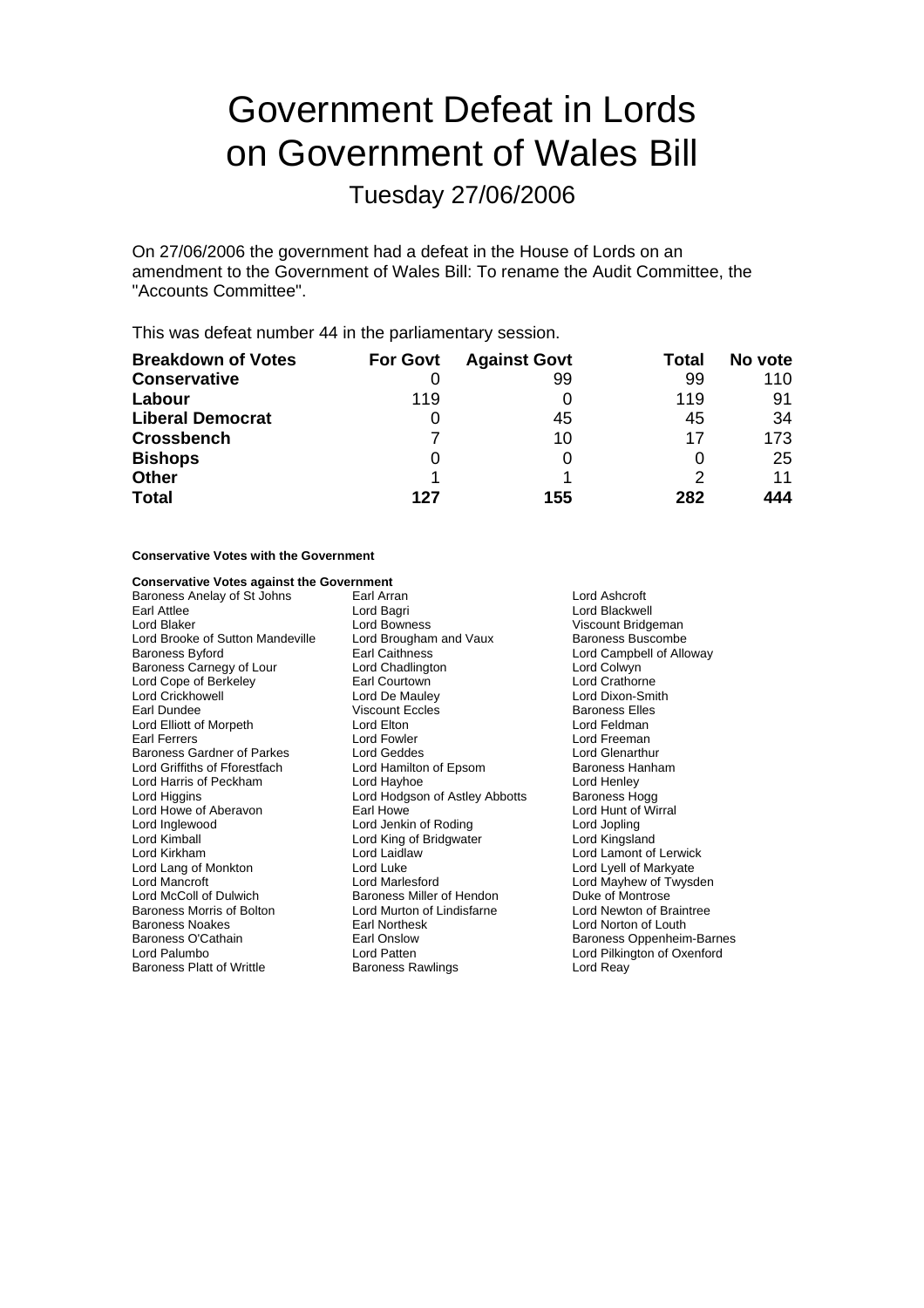# Government Defeat in Lords on Government of Wales Bill

Tuesday 27/06/2006

On 27/06/2006 the government had a defeat in the House of Lords on an amendment to the Government of Wales Bill: To rename the Audit Committee, the "Accounts Committee".

This was defeat number 44 in the parliamentary session.

| <b>Breakdown of Votes</b> | <b>For Govt</b> | <b>Against Govt</b> | Total | No vote |
|---------------------------|-----------------|---------------------|-------|---------|
| <b>Conservative</b>       |                 | 99                  | 99    | 110     |
| Labour                    | 119             |                     | 119   | 91      |
| <b>Liberal Democrat</b>   | O               | 45                  | 45    | 34      |
| <b>Crossbench</b>         |                 | 10                  | 17    | 173.    |
| <b>Bishops</b>            | 0               |                     | O     | 25      |
| <b>Other</b>              |                 |                     |       | 11      |
| <b>Total</b>              | 127             | 155                 | 282   | 444     |

### **Conservative Votes with the Government**

### **Conservative Votes against the Government**

Baroness Anelay of St Johns **Earl Arran Communist Communist Communist Communist Communist Communist Communist Co**<br>
Lord Backweine Lord Backweine Lord Backweine Lord Blackweine Lord Blackweine Lord Blackweine Lord Blackwein Earl Attlee **Earl Attlee** Lord Bagri **Lord Blackwell**<br>
Lord Blackwell<br>
Lord Blackwell Lord Bowness Client Corporation Corporation Client Client Client Client Client Client Client Client Lord Brooke of Sutton Mandeville Lord Brougham<br>Baroness Byford Baroness Baroness Baroness Carnegy of Lour Lord Chadlington Lord Colwyn<br>
Lord Cope of Berkeley **Carness Carnes Lord Courtown** Lord Crathorne Lord Cope of Berkeley<br>
Lord Crickhowell<br>
Lord De Mauley Lord Crickho ell w Lord De Mauley Lord Dixon-Smith Lord Elliott of Morpeth<br>
Farl Ferrers<br>
Lord Fowler Earl Ferrers Theory Corner Lord Fowler Corner Lord Exemption Lord Freeman<br>
Baroness Gardner of Parkes Lord Geddes Lord Clenarthur Baroness Gardner of Parkes Lord Geddes<br>Lord Griffiths of Fforestfach Lord Hamilton of Epsom Lord Griffiths of Fforestfach Lord Hamilton of Epsom Baroness Hanham Lord Harris of Peckham Lord Hayhoe Cord Hayhoe Lord Henley<br>
Lord Higgins Cord Hodgson of Astley Abbotts Baroness Hogg Lord Howe of Aberavon Earl Howe Earl Howe Lord Hunt of Roding Lord Hunt of Roding Lord Jopling Lord Inglewood **Communist Constructed Lord Jenkin of Roding Cord Jopling Lord Jopling Lord Kingsland**<br>
Lord King of Bridgwater Lord Kingsland Lord King of Bridgwater Lord Kirkham Lord Laidla w Lord Lamont of Lerwick Lord Lang of Monkton Lord Luke<br>
Lord Mancroft Cord Marlesford Lord McColl of Dulwich **Baroness Miller of Hendon** Duke of Montrose<br>Baroness Morris of Bolton Lord Murton of Lindisfarne Lord Newton of Braintree Baroness Morris of Bolton Lord Murton of Lindisfarne<br>
Baroness Noakes
Lord Morthesk Baroness Noakes **Earl Northesk** Earl Norton of Louth Lord Norton of Louth Baroness O'Cathain **Earl Onslow** Baroness Oppenheim Baroness O'Cathain Earl Onslow Baroness Oppenheim-Barnes Baroness Platt of Writtle

Lord Bowness<br>
Lord Brougham and Vaux<br>
Baroness Buscombe Lord Campbell of Alloway Viscount Eccles Baroness Elles<br>
Lord Elton Baroness Elles<br>
Lord Feldman Lord Hodgson of Astley Abbotts Baroness Hogg<br>Earl Howe **Baroness** Lord Hunt of Wirral Lord Marlesford<br>
Baroness Miller of Hendon<br>
Duke of Montrose Lord Patten Lord Pilkington of Oxenford<br>
Baroness Rawlings<br>
Lord Reay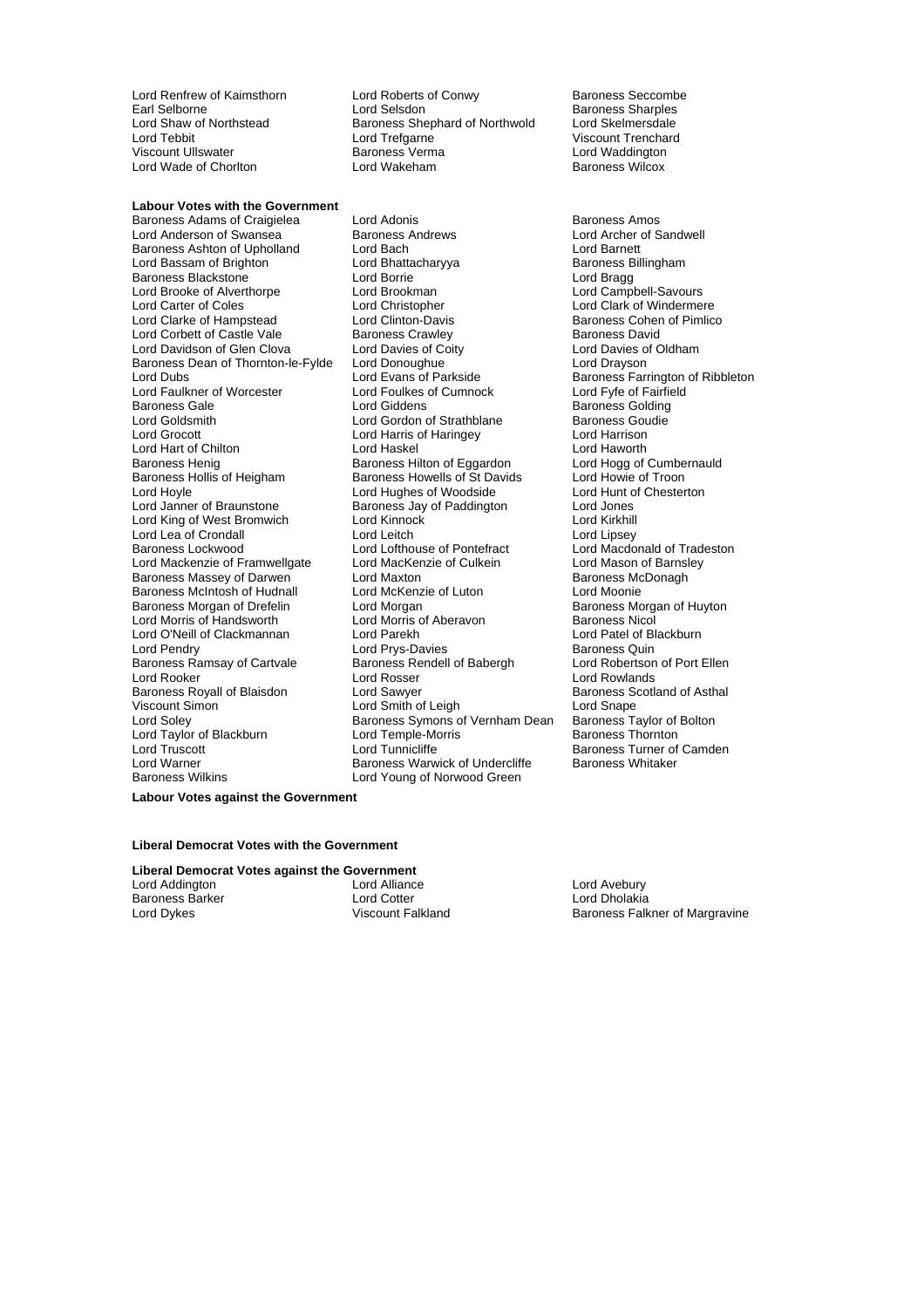Lord Wade of Chorlton

**Labour Votes with the Government** 

Lord Anderson of Swansea Baroness Andrews Baroness Andrews Lord Archer of Sandwell<br>Baroness Ashton of Upholland Lord Bach Cord Barnett Baroness Ashton of Upholland Lord Bach Lord Barnett Lord Bassam of Brighton **Lord Bhattacharyya** Baroness B<br>
Baroness Blackstone **Lord Borrie** Lord Bragg Baroness Blackstone<br>
Lord Brooke of Alverthorpe<br>
Lord Brookman Lord Brooke of Alverthorpe Lord Brookman Lord Campbell-Savours Lord Clarke of Hampstead Lord Corbett of Castle Vale **Baroness Crawley**<br> **Cord Davidson of Glen Clova** Lord Davies of Coity **Baroness Davies of Oldham** Lord Davidson of Glen Clova Lord Davies of Coity<br>
Baroness Dean of Thornton-le-Fylde Lord Donoughue Cord Drayson Baroness Dean of Thornton-le-Fylde Lord Dubs Lord Evans of Parkside Baroness Farrington of Ribbleton Lord Faulkner of Worcester **Find Team Lord Foulkes of Cumnock** Lord Fyfe of Fairfield<br>
Baroness Gale **Reserves** Lord Giddens<br>
Lord Giddens **Communisty Communisty Communisty** Baroness Gale **Baroness Colding**<br>
Lord Goldsmith **Baroness Colding**<br>
Lord Gordon of Strathblane **Baroness Goudie** Lord Grocott Lord Harris of Haringey Lord Harrison Lord Hart of Chilton **Lord Haskel Corporation**<br>
Baroness Henig **Baroness Hilton of Eggardon** Lord Hogg of Cumbernauld Baroness Henig Baroness Hilton of Eggardon Lord Hogg of Cumbernauld Baroness Hollis of Heigham Baroness Howells of St Davids Lord Howie of Troon Lord Hoyle Lord Hughes of Woodside Lord Hunt of Chesterton Lord King of West Bromwich Lord Lea of Crondall **Lord Leitch** Lord Leitch **Lord Lipsey** Baroness Lockwood **Lord Lofthouse of Pontefract** Lord Macdonald of Tradeston<br>
Lord Mackenzie of Framwellgate Lord MacKenzie of Culkein Lord Mason of Barnsley Lord Mackenzie of Framwellgate Lord MacKenzie of Culkein Lord Mason of Barnsl<br>Baroness Massey of Darwen Lord Maxton Culkein Baroness McDonagh Baroness Massey of Darwen Baroness McIntosh of Hudnall Lord McKenzie of Luton<br>
Baroness Morgan of Drefelin Lord Morgan Corporation Baroness Morgan of Huyton Baroness Morgan of Drefelin Lord Morgan Lord Defension Baroness Morgan Baroness Morgan Baroness Morg<br>
Lord Morris of Handsworth Lord Morris of Aberavon Baroness Nicol Lord Morris of Handsworth Lord Morris of Aberavon Baroness Nicol Lord O'Neill of Clackmannan Lord Pendry Cord Prys-Davies Baroness Quin<br>Baroness Ramsay of Cartvale Baroness Rendell of Babergh Baroness Rendell Ord Robertson of Port Ellen Baroness Ramsay of Cartvale Baroness Rendell Baroness Rendell Baroness Rendell Baroness Rendell Baroness Rendell Baroness Re Lord Rooker Lord Rosser Lord Rosser Lord Rowlands<br>
Baroness Royall of Blaisdon Lord Sawyer Lord Baroness Scotland Baroness Royall of Blaisdon Lord Sawyer Communication Baroness Scotland of Asthal<br>
Lord Samith of Leigh Lord Snape<br>
Lord Snape Viscount Simon **Nation Common Lord Show Common Common Common Common Common Common Common Common Common Common C**<br>Lord Soley Lord Solton Lord Salton Baroness Symons of Vernham Dean Baroness Taylor of Bolton Lord Taylor of Blackburn **B Lord Temple-Morris Baroness Thornton** Lord Truscott **Lord Tunnicliffe** Baroness Turner of Camden<br>
Lord Warner **Cammen Baroness Warwick of Undercliffe** Baroness Whitaker Lord Warner **Baroness Warwick of Undercliffe**<br>Baroness Wilkins **Baroness Wilkins** Lord Young of Norwood Green

Lord Renfrew of Kaimsthorn **Lord Roberts of Conwy** Baroness Seccombe<br>
Earl Selborne **Baroness** Sharples Earl Selborne **Lord Selsdon**<br>
Lord Shaw of Northstead Baroness Shephard of Northwold Lord Skelmersdale Baroness Shephard of Northwold Lord Tebbit Lord Trefgarne Communication Corporation Corporation Corporation Corporation Corporation Corporatio<br>
Lord Waddington Corporation Care Baroness Verma Viscount Ullswater **Baroness Verma** Communist Conductional Lord Waddington<br>The Baroness Wilcox<br>Lord Wakeham

Baroness Adams of Craigielea Lord Adonis **Baroness Amos** Baroness Amos Lord Christopher **Lord Clark of Windermere**<br>
Lord Clinton-Davis **Coles Lord Clark of Pimlico**<br>
Baroness Cohen of Pimlico Lord Gordon of Strathblane Baroness Gou<br>
Lord Harris of Haringey Baroness Goudie Baroness Howells of St Davids Exaroness Jay of Paddington **Baroness Jay of Paddington**<br>
Lord Kinnock **by Braunston** Lord Kirkhill Baroness Symons of Vernham Dean<br>Lord Temple-Morris Lord Young of Norwood Green

**Labour Votes against the Government**

**Liberal Democrat Votes with the Government**

**Liberal Democrat Votes against the Government** Lord Addington Lord Alliance Lord Avebury<br>
Raroness Barker Lord Corter Lord Cotter Lord Dholakia Baroness Barker Lord Cotter Lord Dykes<br>
Lord Dykes Communication Control Control Control Control Control Control Control Control Control Control Contr<br>
Lord Dykes Control Control Control Control Control Control Control Con

Baroness Falkner of Margravine